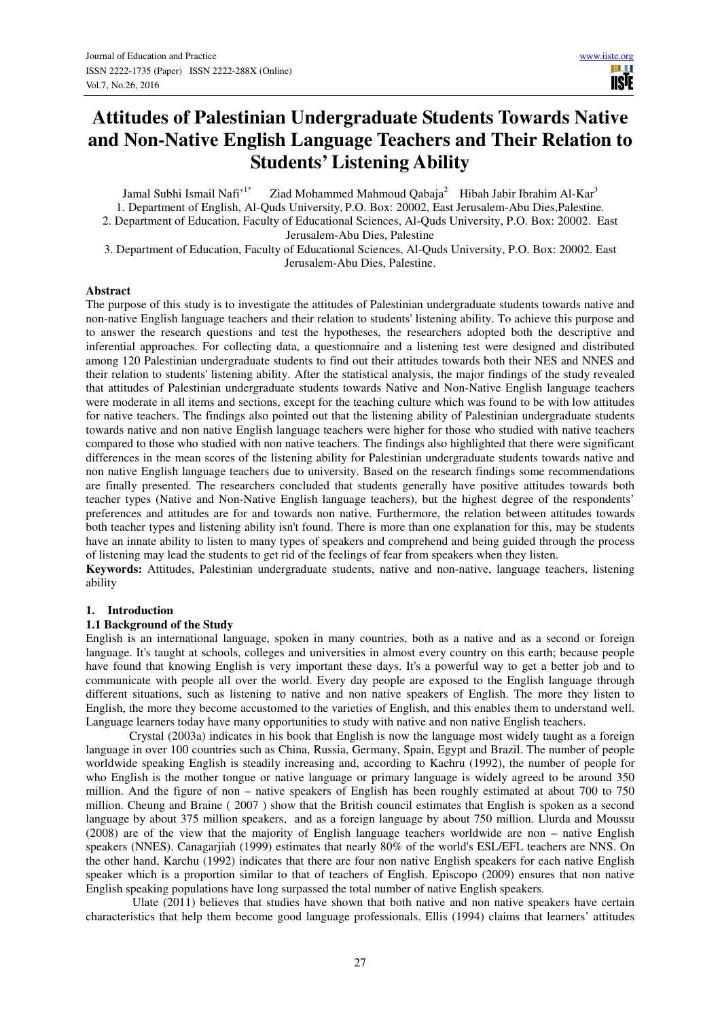**TISIE** 

# **Attitudes of Palestinian Undergraduate Students Towards Native and Non-Native English Language Teachers and Their Relation to Students' Listening Ability**

Jamal Subhi Ismail Nafi'<sup>1\*</sup> Ziad Mohammed Mahmoud Qabaja<sup>2</sup> Hibah Jabir Ibrahim Al-Kar<sup>3</sup>

1. Department of English, Al-Quds University, P.O. Box: 20002, East Jerusalem-Abu Dies,Palestine.

2. Department of Education, Faculty of Educational Sciences, Al-Quds University, P.O. Box: 20002. East Jerusalem-Abu Dies, Palestine

3. Department of Education, Faculty of Educational Sciences, Al-Quds University, P.O. Box: 20002. East Jerusalem-Abu Dies, Palestine.

## **Abstract**

The purpose of this study is to investigate the attitudes of Palestinian undergraduate students towards native and non-native English language teachers and their relation to students' listening ability. To achieve this purpose and to answer the research questions and test the hypotheses, the researchers adopted both the descriptive and inferential approaches. For collecting data, a questionnaire and a listening test were designed and distributed among 120 Palestinian undergraduate students to find out their attitudes towards both their NES and NNES and their relation to students' listening ability. After the statistical analysis, the major findings of the study revealed that attitudes of Palestinian undergraduate students towards Native and Non-Native English language teachers were moderate in all items and sections, except for the teaching culture which was found to be with low attitudes for native teachers. The findings also pointed out that the listening ability of Palestinian undergraduate students towards native and non native English language teachers were higher for those who studied with native teachers compared to those who studied with non native teachers. The findings also highlighted that there were significant differences in the mean scores of the listening ability for Palestinian undergraduate students towards native and non native English language teachers due to university. Based on the research findings some recommendations are finally presented. The researchers concluded that students generally have positive attitudes towards both teacher types (Native and Non-Native English language teachers), but the highest degree of the respondents' preferences and attitudes are for and towards non native. Furthermore, the relation between attitudes towards both teacher types and listening ability isn't found. There is more than one explanation for this, may be students have an innate ability to listen to many types of speakers and comprehend and being guided through the process of listening may lead the students to get rid of the feelings of fear from speakers when they listen.

**Keywords:** Attitudes, Palestinian undergraduate students, native and non-native, language teachers, listening ability

## **1. Introduction**

## **1.1 Background of the Study**

English is an international language, spoken in many countries, both as a native and as a second or foreign language. It's taught at schools, colleges and universities in almost every country on this earth; because people have found that knowing English is very important these days. It's a powerful way to get a better job and to communicate with people all over the world. Every day people are exposed to the English language through different situations, such as listening to native and non native speakers of English. The more they listen to English, the more they become accustomed to the varieties of English, and this enables them to understand well. Language learners today have many opportunities to study with native and non native English teachers.

Crystal (2003a) indicates in his book that English is now the language most widely taught as a foreign language in over 100 countries such as China, Russia, Germany, Spain, Egypt and Brazil. The number of people worldwide speaking English is steadily increasing and, according to Kachru (1992), the number of people for who English is the mother tongue or native language or primary language is widely agreed to be around 350 million. And the figure of non – native speakers of English has been roughly estimated at about 700 to 750 million. Cheung and Braine ( 2007 ) show that the British council estimates that English is spoken as a second language by about 375 million speakers, and as a foreign language by about 750 million. Llurda and Moussu (2008) are of the view that the majority of English language teachers worldwide are non – native English speakers (NNES). Canagarjiah (1999) estimates that nearly 80% of the world's ESL/EFL teachers are NNS. On the other hand, Karchu (1992) indicates that there are four non native English speakers for each native English speaker which is a proportion similar to that of teachers of English. Episcopo (2009) ensures that non native English speaking populations have long surpassed the total number of native English speakers.

 Ulate (2011) believes that studies have shown that both native and non native speakers have certain characteristics that help them become good language professionals. Ellis (1994) claims that learners' attitudes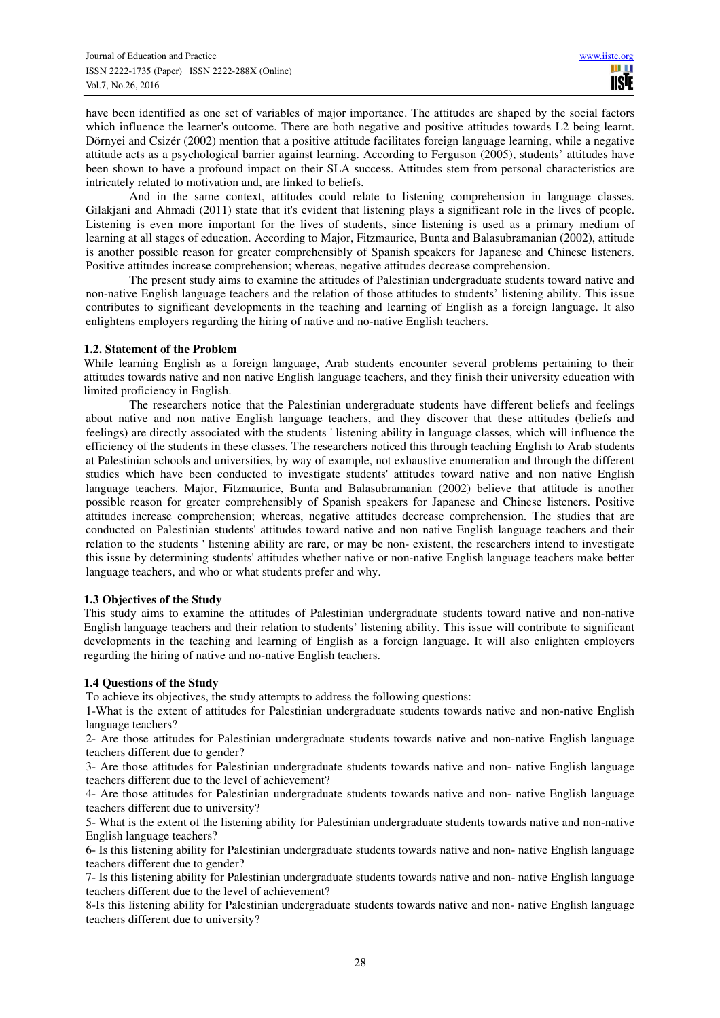have been identified as one set of variables of major importance. The attitudes are shaped by the social factors which influence the learner's outcome. There are both negative and positive attitudes towards L2 being learnt. Dörnyei and Csizér (2002) mention that a positive attitude facilitates foreign language learning, while a negative attitude acts as a psychological barrier against learning. According to Ferguson (2005), students' attitudes have been shown to have a profound impact on their SLA success. Attitudes stem from personal characteristics are intricately related to motivation and, are linked to beliefs.

And in the same context, attitudes could relate to listening comprehension in language classes. Gilakiani and Ahmadi (2011) state that it's evident that listening plays a significant role in the lives of people. Listening is even more important for the lives of students, since listening is used as a primary medium of learning at all stages of education. According to Major, Fitzmaurice, Bunta and Balasubramanian (2002), attitude is another possible reason for greater comprehensibly of Spanish speakers for Japanese and Chinese listeners. Positive attitudes increase comprehension; whereas, negative attitudes decrease comprehension.

The present study aims to examine the attitudes of Palestinian undergraduate students toward native and non-native English language teachers and the relation of those attitudes to students' listening ability. This issue contributes to significant developments in the teaching and learning of English as a foreign language. It also enlightens employers regarding the hiring of native and no-native English teachers.

# **1.2. Statement of the Problem**

While learning English as a foreign language, Arab students encounter several problems pertaining to their attitudes towards native and non native English language teachers, and they finish their university education with limited proficiency in English.

The researchers notice that the Palestinian undergraduate students have different beliefs and feelings about native and non native English language teachers, and they discover that these attitudes (beliefs and feelings) are directly associated with the students ' listening ability in language classes, which will influence the efficiency of the students in these classes. The researchers noticed this through teaching English to Arab students at Palestinian schools and universities, by way of example, not exhaustive enumeration and through the different studies which have been conducted to investigate students' attitudes toward native and non native English language teachers. Major, Fitzmaurice, Bunta and Balasubramanian (2002) believe that attitude is another possible reason for greater comprehensibly of Spanish speakers for Japanese and Chinese listeners. Positive attitudes increase comprehension; whereas, negative attitudes decrease comprehension. The studies that are conducted on Palestinian students' attitudes toward native and non native English language teachers and their relation to the students ' listening ability are rare, or may be non- existent, the researchers intend to investigate this issue by determining students' attitudes whether native or non-native English language teachers make better language teachers, and who or what students prefer and why.

## **1.3 Objectives of the Study**

This study aims to examine the attitudes of Palestinian undergraduate students toward native and non-native English language teachers and their relation to students' listening ability. This issue will contribute to significant developments in the teaching and learning of English as a foreign language. It will also enlighten employers regarding the hiring of native and no-native English teachers.

## **1.4 Questions of the Study**

To achieve its objectives, the study attempts to address the following questions:

1-What is the extent of attitudes for Palestinian undergraduate students towards native and non-native English language teachers?

2- Are those attitudes for Palestinian undergraduate students towards native and non-native English language teachers different due to gender?

3- Are those attitudes for Palestinian undergraduate students towards native and non- native English language teachers different due to the level of achievement?

4- Are those attitudes for Palestinian undergraduate students towards native and non- native English language teachers different due to university?

5- What is the extent of the listening ability for Palestinian undergraduate students towards native and non-native English language teachers?

6- Is this listening ability for Palestinian undergraduate students towards native and non- native English language teachers different due to gender?

7- Is this listening ability for Palestinian undergraduate students towards native and non- native English language teachers different due to the level of achievement?

8-Is this listening ability for Palestinian undergraduate students towards native and non- native English language teachers different due to university?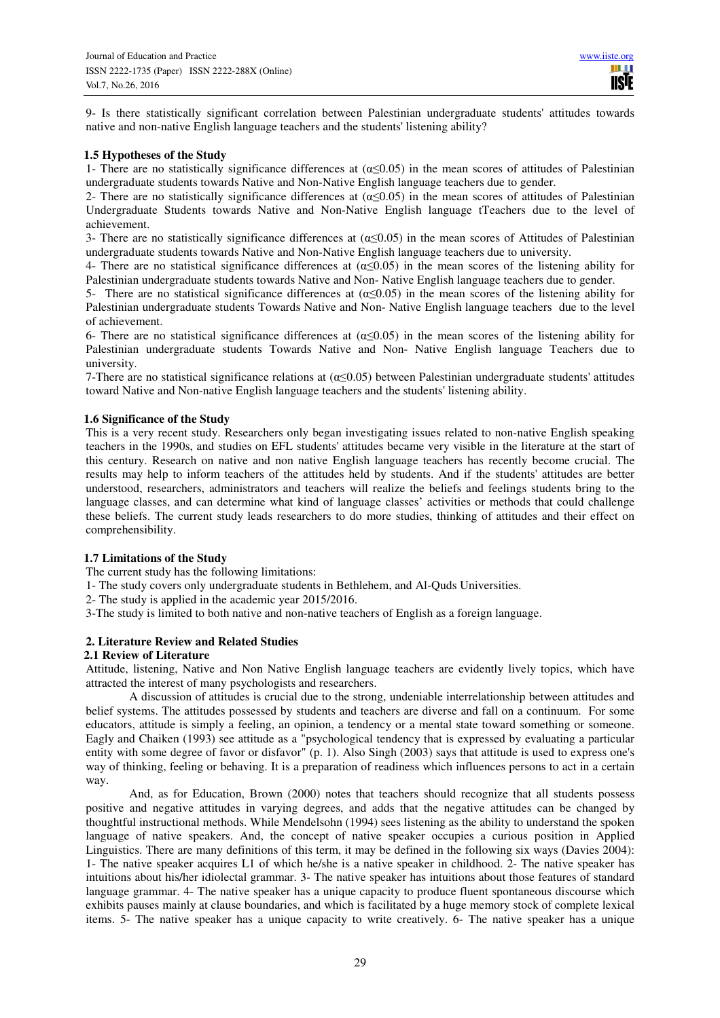9- Is there statistically significant correlation between Palestinian undergraduate students' attitudes towards native and non-native English language teachers and the students' listening ability?

# **1.5 Hypotheses of the Study**

1- There are no statistically significance differences at  $(\alpha < 0.05)$  in the mean scores of attitudes of Palestinian undergraduate students towards Native and Non-Native English language teachers due to gender.

2- There are no statistically significance differences at  $(\alpha \le 0.05)$  in the mean scores of attitudes of Palestinian Undergraduate Students towards Native and Non-Native English language tTeachers due to the level of achievement.

3- There are no statistically significance differences at  $(\alpha \le 0.05)$  in the mean scores of Attitudes of Palestinian undergraduate students towards Native and Non-Native English language teachers due to university.

4- There are no statistical significance differences at  $(\alpha \le 0.05)$  in the mean scores of the listening ability for Palestinian undergraduate students towards Native and Non- Native English language teachers due to gender.

5- There are no statistical significance differences at  $(\alpha \le 0.05)$  in the mean scores of the listening ability for Palestinian undergraduate students Towards Native and Non- Native English language teachers due to the level of achievement.

6- There are no statistical significance differences at  $(\alpha \le 0.05)$  in the mean scores of the listening ability for Palestinian undergraduate students Towards Native and Non- Native English language Teachers due to university.

7-There are no statistical significance relations at (α≤0.05) between Palestinian undergraduate students' attitudes toward Native and Non-native English language teachers and the students' listening ability.

## **1.6 Significance of the Study**

This is a very recent study. Researchers only began investigating issues related to non-native English speaking teachers in the 1990s, and studies on EFL students' attitudes became very visible in the literature at the start of this century. Research on native and non native English language teachers has recently become crucial. The results may help to inform teachers of the attitudes held by students. And if the students' attitudes are better understood, researchers, administrators and teachers will realize the beliefs and feelings students bring to the language classes, and can determine what kind of language classes' activities or methods that could challenge these beliefs. The current study leads researchers to do more studies, thinking of attitudes and their effect on comprehensibility.

# **1.7 Limitations of the Study**

The current study has the following limitations:

1- The study covers only undergraduate students in Bethlehem, and Al-Quds Universities.

2- The study is applied in the academic year 2015/2016.

3-The study is limited to both native and non-native teachers of English as a foreign language.

## **2. Literature Review and Related Studies**

## **2.1 Review of Literature**

Attitude, listening, Native and Non Native English language teachers are evidently lively topics, which have attracted the interest of many psychologists and researchers.

A discussion of attitudes is crucial due to the strong, undeniable interrelationship between attitudes and belief systems. The attitudes possessed by students and teachers are diverse and fall on a continuum. For some educators, attitude is simply a feeling, an opinion, a tendency or a mental state toward something or someone. Eagly and Chaiken (1993) see attitude as a "psychological tendency that is expressed by evaluating a particular entity with some degree of favor or disfavor" (p. 1). Also Singh (2003) says that attitude is used to express one's way of thinking, feeling or behaving. It is a preparation of readiness which influences persons to act in a certain way.

And, as for Education, Brown (2000) notes that teachers should recognize that all students possess positive and negative attitudes in varying degrees, and adds that the negative attitudes can be changed by thoughtful instructional methods. While Mendelsohn (1994) sees listening as the ability to understand the spoken language of native speakers. And, the concept of native speaker occupies a curious position in Applied Linguistics. There are many definitions of this term, it may be defined in the following six ways (Davies 2004): 1- The native speaker acquires L1 of which he/she is a native speaker in childhood. 2- The native speaker has intuitions about his/her idiolectal grammar. 3- The native speaker has intuitions about those features of standard language grammar. 4- The native speaker has a unique capacity to produce fluent spontaneous discourse which exhibits pauses mainly at clause boundaries, and which is facilitated by a huge memory stock of complete lexical items. 5- The native speaker has a unique capacity to write creatively. 6- The native speaker has a unique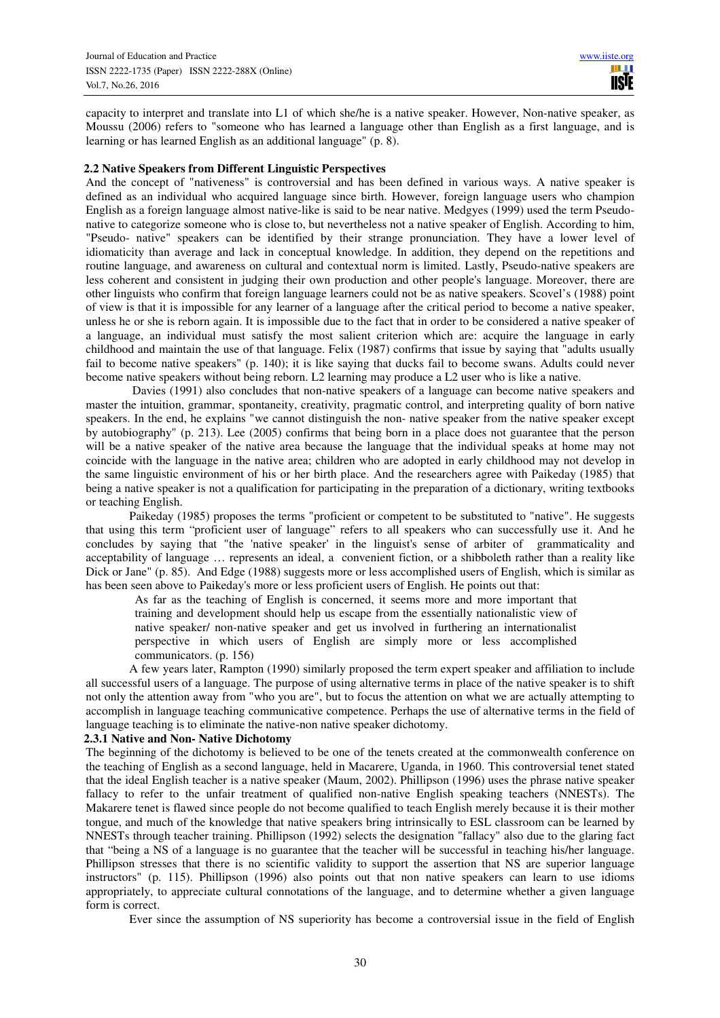capacity to interpret and translate into L1 of which she/he is a native speaker. However, Non-native speaker, as Moussu (2006) refers to "someone who has learned a language other than English as a first language, and is learning or has learned English as an additional language" (p. 8).

## **2.2 Native Speakers from Different Linguistic Perspectives**

And the concept of "nativeness" is controversial and has been defined in various ways. A native speaker is defined as an individual who acquired language since birth. However, foreign language users who champion English as a foreign language almost native-like is said to be near native. Medgyes (1999) used the term Pseudonative to categorize someone who is close to, but nevertheless not a native speaker of English. According to him, "Pseudo- native" speakers can be identified by their strange pronunciation. They have a lower level of idiomaticity than average and lack in conceptual knowledge. In addition, they depend on the repetitions and routine language, and awareness on cultural and contextual norm is limited. Lastly, Pseudo-native speakers are less coherent and consistent in judging their own production and other people's language. Moreover, there are other linguists who confirm that foreign language learners could not be as native speakers. Scovel's (1988) point of view is that it is impossible for any learner of a language after the critical period to become a native speaker, unless he or she is reborn again. It is impossible due to the fact that in order to be considered a native speaker of a language, an individual must satisfy the most salient criterion which are: acquire the language in early childhood and maintain the use of that language. Felix (1987) confirms that issue by saying that "adults usually fail to become native speakers" (p. 140); it is like saying that ducks fail to become swans. Adults could never become native speakers without being reborn. L2 learning may produce a L2 user who is like a native.

 Davies (1991) also concludes that non-native speakers of a language can become native speakers and master the intuition, grammar, spontaneity, creativity, pragmatic control, and interpreting quality of born native speakers. In the end, he explains "we cannot distinguish the non- native speaker from the native speaker except by autobiography" (p. 213). Lee (2005) confirms that being born in a place does not guarantee that the person will be a native speaker of the native area because the language that the individual speaks at home may not coincide with the language in the native area; children who are adopted in early childhood may not develop in the same linguistic environment of his or her birth place. And the researchers agree with Paikeday (1985) that being a native speaker is not a qualification for participating in the preparation of a dictionary, writing textbooks or teaching English.

Paikeday (1985) proposes the terms "proficient or competent to be substituted to "native". He suggests that using this term "proficient user of language" refers to all speakers who can successfully use it. And he concludes by saying that "the 'native speaker' in the linguist's sense of arbiter of grammaticality and acceptability of language … represents an ideal, a convenient fiction, or a shibboleth rather than a reality like Dick or Jane" (p. 85). And Edge (1988) suggests more or less accomplished users of English, which is similar as has been seen above to Paikeday's more or less proficient users of English. He points out that:

As far as the teaching of English is concerned, it seems more and more important that training and development should help us escape from the essentially nationalistic view of native speaker/ non-native speaker and get us involved in furthering an internationalist perspective in which users of English are simply more or less accomplished communicators. (p. 156)

A few years later, Rampton (1990) similarly proposed the term expert speaker and affiliation to include all successful users of a language. The purpose of using alternative terms in place of the native speaker is to shift not only the attention away from "who you are", but to focus the attention on what we are actually attempting to accomplish in language teaching communicative competence. Perhaps the use of alternative terms in the field of language teaching is to eliminate the native-non native speaker dichotomy.

## **2.3.1 Native and Non- Native Dichotomy**

The beginning of the dichotomy is believed to be one of the tenets created at the commonwealth conference on the teaching of English as a second language, held in Macarere, Uganda, in 1960. This controversial tenet stated that the ideal English teacher is a native speaker (Maum, 2002). Phillipson (1996) uses the phrase native speaker fallacy to refer to the unfair treatment of qualified non-native English speaking teachers (NNESTs). The Makarere tenet is flawed since people do not become qualified to teach English merely because it is their mother tongue, and much of the knowledge that native speakers bring intrinsically to ESL classroom can be learned by NNESTs through teacher training. Phillipson (1992) selects the designation "fallacy" also due to the glaring fact that "being a NS of a language is no guarantee that the teacher will be successful in teaching his/her language. Phillipson stresses that there is no scientific validity to support the assertion that NS are superior language instructors" (p. 115). Phillipson (1996) also points out that non native speakers can learn to use idioms appropriately, to appreciate cultural connotations of the language, and to determine whether a given language form is correct.

Ever since the assumption of NS superiority has become a controversial issue in the field of English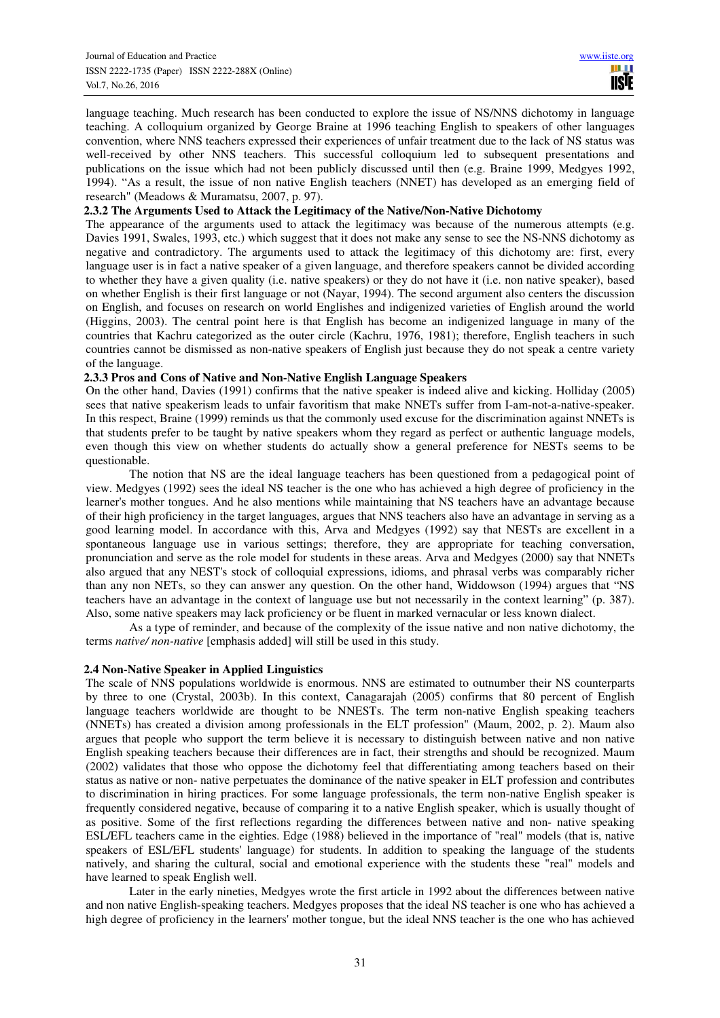language teaching. Much research has been conducted to explore the issue of NS/NNS dichotomy in language teaching. A colloquium organized by George Braine at 1996 teaching English to speakers of other languages convention, where NNS teachers expressed their experiences of unfair treatment due to the lack of NS status was well-received by other NNS teachers. This successful colloquium led to subsequent presentations and publications on the issue which had not been publicly discussed until then (e.g. Braine 1999, Medgyes 1992, 1994). "As a result, the issue of non native English teachers (NNET) has developed as an emerging field of research" (Meadows & Muramatsu, 2007, p. 97).

## **2.3.2 The Arguments Used to Attack the Legitimacy of the Native/Non-Native Dichotomy**

The appearance of the arguments used to attack the legitimacy was because of the numerous attempts (e.g. Davies 1991, Swales, 1993, etc.) which suggest that it does not make any sense to see the NS-NNS dichotomy as negative and contradictory. The arguments used to attack the legitimacy of this dichotomy are: first, every language user is in fact a native speaker of a given language, and therefore speakers cannot be divided according to whether they have a given quality (i.e. native speakers) or they do not have it (i.e. non native speaker), based on whether English is their first language or not (Nayar, 1994). The second argument also centers the discussion on English, and focuses on research on world Englishes and indigenized varieties of English around the world (Higgins, 2003). The central point here is that English has become an indigenized language in many of the countries that Kachru categorized as the outer circle (Kachru, 1976, 1981); therefore, English teachers in such countries cannot be dismissed as non-native speakers of English just because they do not speak a centre variety of the language.

## **2.3.3 Pros and Cons of Native and Non-Native English Language Speakers**

On the other hand, Davies (1991) confirms that the native speaker is indeed alive and kicking. Holliday (2005) sees that native speakerism leads to unfair favoritism that make NNETs suffer from I-am-not-a-native-speaker. In this respect, Braine (1999) reminds us that the commonly used excuse for the discrimination against NNETs is that students prefer to be taught by native speakers whom they regard as perfect or authentic language models, even though this view on whether students do actually show a general preference for NESTs seems to be questionable.

The notion that NS are the ideal language teachers has been questioned from a pedagogical point of view. Medgyes (1992) sees the ideal NS teacher is the one who has achieved a high degree of proficiency in the learner's mother tongues. And he also mentions while maintaining that NS teachers have an advantage because of their high proficiency in the target languages, argues that NNS teachers also have an advantage in serving as a good learning model. In accordance with this, Arva and Medgyes (1992) say that NESTs are excellent in a spontaneous language use in various settings; therefore, they are appropriate for teaching conversation, pronunciation and serve as the role model for students in these areas. Arva and Medgyes (2000) say that NNETs also argued that any NEST's stock of colloquial expressions, idioms, and phrasal verbs was comparably richer than any non NETs, so they can answer any question. On the other hand, Widdowson (1994) argues that "NS teachers have an advantage in the context of language use but not necessarily in the context learning" (p. 387). Also, some native speakers may lack proficiency or be fluent in marked vernacular or less known dialect.

As a type of reminder, and because of the complexity of the issue native and non native dichotomy, the terms *native/ non-native* [emphasis added] will still be used in this study.

## **2.4 Non-Native Speaker in Applied Linguistics**

The scale of NNS populations worldwide is enormous. NNS are estimated to outnumber their NS counterparts by three to one (Crystal, 2003b). In this context, Canagarajah (2005) confirms that 80 percent of English language teachers worldwide are thought to be NNESTs. The term non-native English speaking teachers (NNETs) has created a division among professionals in the ELT profession" (Maum, 2002, p. 2). Maum also argues that people who support the term believe it is necessary to distinguish between native and non native English speaking teachers because their differences are in fact, their strengths and should be recognized. Maum (2002) validates that those who oppose the dichotomy feel that differentiating among teachers based on their status as native or non- native perpetuates the dominance of the native speaker in ELT profession and contributes to discrimination in hiring practices. For some language professionals, the term non-native English speaker is frequently considered negative, because of comparing it to a native English speaker, which is usually thought of as positive. Some of the first reflections regarding the differences between native and non- native speaking ESL/EFL teachers came in the eighties. Edge (1988) believed in the importance of "real" models (that is, native speakers of ESL/EFL students' language) for students. In addition to speaking the language of the students natively, and sharing the cultural, social and emotional experience with the students these "real" models and have learned to speak English well.

Later in the early nineties, Medgyes wrote the first article in 1992 about the differences between native and non native English-speaking teachers. Medgyes proposes that the ideal NS teacher is one who has achieved a high degree of proficiency in the learners' mother tongue, but the ideal NNS teacher is the one who has achieved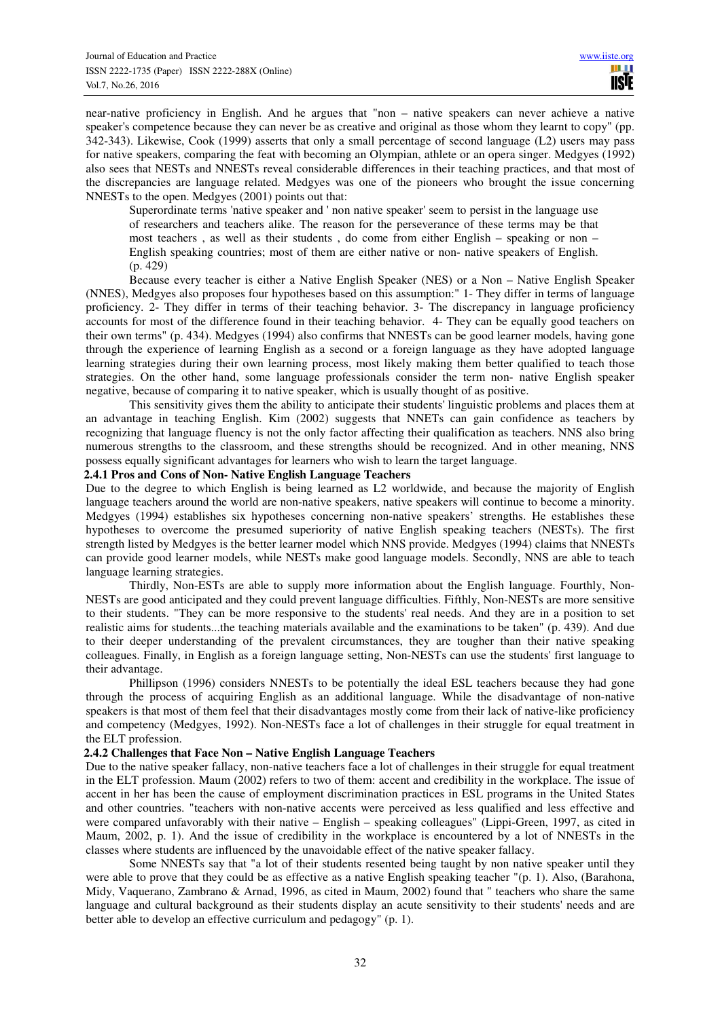near-native proficiency in English. And he argues that "non – native speakers can never achieve a native speaker's competence because they can never be as creative and original as those whom they learnt to copy" (pp. 342-343). Likewise, Cook (1999) asserts that only a small percentage of second language (L2) users may pass for native speakers, comparing the feat with becoming an Olympian, athlete or an opera singer. Medgyes (1992) also sees that NESTs and NNESTs reveal considerable differences in their teaching practices, and that most of the discrepancies are language related. Medgyes was one of the pioneers who brought the issue concerning NNESTs to the open. Medgyes (2001) points out that:

Superordinate terms 'native speaker and ' non native speaker' seem to persist in the language use of researchers and teachers alike. The reason for the perseverance of these terms may be that most teachers , as well as their students , do come from either English – speaking or non – English speaking countries; most of them are either native or non- native speakers of English. (p. 429)

Because every teacher is either a Native English Speaker (NES) or a Non – Native English Speaker (NNES), Medgyes also proposes four hypotheses based on this assumption:" 1- They differ in terms of language proficiency. 2- They differ in terms of their teaching behavior. 3- The discrepancy in language proficiency accounts for most of the difference found in their teaching behavior. 4- They can be equally good teachers on their own terms" (p. 434). Medgyes (1994) also confirms that NNESTs can be good learner models, having gone through the experience of learning English as a second or a foreign language as they have adopted language learning strategies during their own learning process, most likely making them better qualified to teach those strategies. On the other hand, some language professionals consider the term non- native English speaker negative, because of comparing it to native speaker, which is usually thought of as positive.

This sensitivity gives them the ability to anticipate their students' linguistic problems and places them at an advantage in teaching English. Kim (2002) suggests that NNETs can gain confidence as teachers by recognizing that language fluency is not the only factor affecting their qualification as teachers. NNS also bring numerous strengths to the classroom, and these strengths should be recognized. And in other meaning, NNS possess equally significant advantages for learners who wish to learn the target language.

## **2.4.1 Pros and Cons of Non- Native English Language Teachers**

Due to the degree to which English is being learned as L2 worldwide, and because the majority of English language teachers around the world are non-native speakers, native speakers will continue to become a minority. Medgyes (1994) establishes six hypotheses concerning non-native speakers' strengths. He establishes these hypotheses to overcome the presumed superiority of native English speaking teachers (NESTs). The first strength listed by Medgyes is the better learner model which NNS provide. Medgyes (1994) claims that NNESTs can provide good learner models, while NESTs make good language models. Secondly, NNS are able to teach language learning strategies.

Thirdly, Non-ESTs are able to supply more information about the English language. Fourthly, Non-NESTs are good anticipated and they could prevent language difficulties. Fifthly, Non-NESTs are more sensitive to their students. "They can be more responsive to the students' real needs. And they are in a position to set realistic aims for students...the teaching materials available and the examinations to be taken" (p. 439). And due to their deeper understanding of the prevalent circumstances, they are tougher than their native speaking colleagues. Finally, in English as a foreign language setting, Non-NESTs can use the students' first language to their advantage.

Phillipson (1996) considers NNESTs to be potentially the ideal ESL teachers because they had gone through the process of acquiring English as an additional language. While the disadvantage of non-native speakers is that most of them feel that their disadvantages mostly come from their lack of native-like proficiency and competency (Medgyes, 1992). Non-NESTs face a lot of challenges in their struggle for equal treatment in the ELT profession.

## **2.4.2 Challenges that Face Non – Native English Language Teachers**

Due to the native speaker fallacy, non-native teachers face a lot of challenges in their struggle for equal treatment in the ELT profession. Maum (2002) refers to two of them: accent and credibility in the workplace. The issue of accent in her has been the cause of employment discrimination practices in ESL programs in the United States and other countries. "teachers with non-native accents were perceived as less qualified and less effective and were compared unfavorably with their native – English – speaking colleagues" (Lippi-Green, 1997, as cited in Maum, 2002, p. 1). And the issue of credibility in the workplace is encountered by a lot of NNESTs in the classes where students are influenced by the unavoidable effect of the native speaker fallacy.

Some NNESTs say that "a lot of their students resented being taught by non native speaker until they were able to prove that they could be as effective as a native English speaking teacher "(p. 1). Also, (Barahona, Midy, Vaquerano, Zambrano & Arnad, 1996, as cited in Maum, 2002) found that " teachers who share the same language and cultural background as their students display an acute sensitivity to their students' needs and are better able to develop an effective curriculum and pedagogy" (p. 1).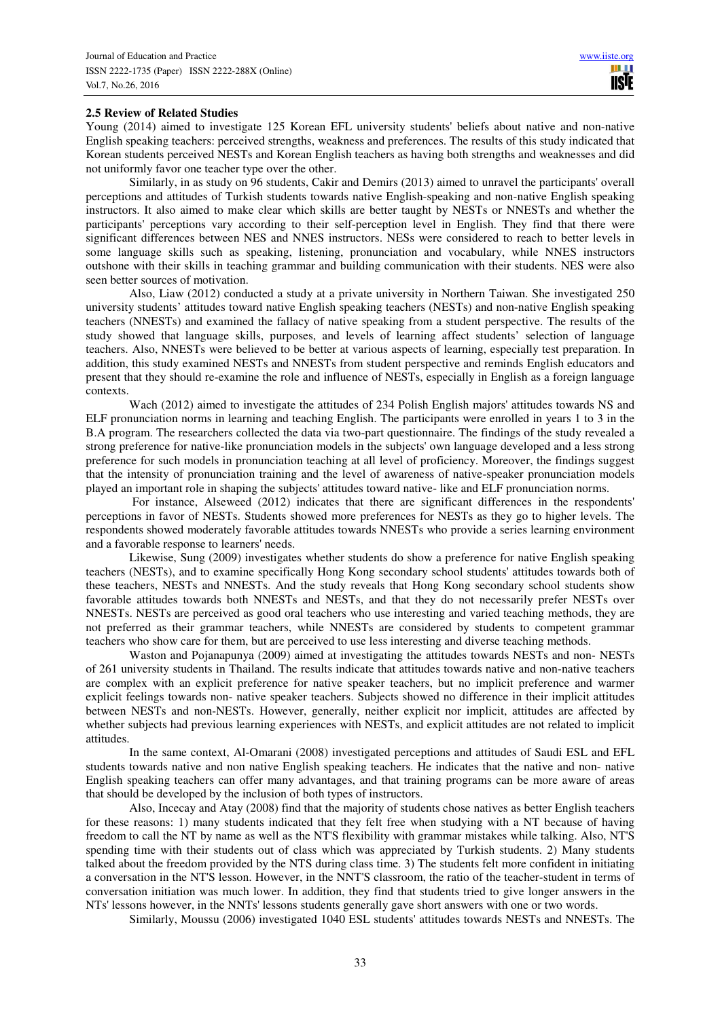## **2.5 Review of Related Studies**

Young (2014) aimed to investigate 125 Korean EFL university students' beliefs about native and non-native English speaking teachers: perceived strengths, weakness and preferences. The results of this study indicated that Korean students perceived NESTs and Korean English teachers as having both strengths and weaknesses and did not uniformly favor one teacher type over the other.

Similarly, in as study on 96 students, Cakir and Demirs (2013) aimed to unravel the participants' overall perceptions and attitudes of Turkish students towards native English-speaking and non-native English speaking instructors. It also aimed to make clear which skills are better taught by NESTs or NNESTs and whether the participants' perceptions vary according to their self-perception level in English. They find that there were significant differences between NES and NNES instructors. NESs were considered to reach to better levels in some language skills such as speaking, listening, pronunciation and vocabulary, while NNES instructors outshone with their skills in teaching grammar and building communication with their students. NES were also seen better sources of motivation.

Also, Liaw (2012) conducted a study at a private university in Northern Taiwan. She investigated 250 university students' attitudes toward native English speaking teachers (NESTs) and non-native English speaking teachers (NNESTs) and examined the fallacy of native speaking from a student perspective. The results of the study showed that language skills, purposes, and levels of learning affect students' selection of language teachers. Also, NNESTs were believed to be better at various aspects of learning, especially test preparation. In addition, this study examined NESTs and NNESTs from student perspective and reminds English educators and present that they should re-examine the role and influence of NESTs, especially in English as a foreign language contexts.

Wach (2012) aimed to investigate the attitudes of 234 Polish English majors' attitudes towards NS and ELF pronunciation norms in learning and teaching English. The participants were enrolled in years 1 to 3 in the B.A program. The researchers collected the data via two-part questionnaire. The findings of the study revealed a strong preference for native-like pronunciation models in the subjects' own language developed and a less strong preference for such models in pronunciation teaching at all level of proficiency. Moreover, the findings suggest that the intensity of pronunciation training and the level of awareness of native-speaker pronunciation models played an important role in shaping the subjects' attitudes toward native- like and ELF pronunciation norms.

 For instance, Alseweed (2012) indicates that there are significant differences in the respondents' perceptions in favor of NESTs. Students showed more preferences for NESTs as they go to higher levels. The respondents showed moderately favorable attitudes towards NNESTs who provide a series learning environment and a favorable response to learners' needs.

Likewise, Sung (2009) investigates whether students do show a preference for native English speaking teachers (NESTs), and to examine specifically Hong Kong secondary school students' attitudes towards both of these teachers, NESTs and NNESTs. And the study reveals that Hong Kong secondary school students show favorable attitudes towards both NNESTs and NESTs, and that they do not necessarily prefer NESTs over NNESTs. NESTs are perceived as good oral teachers who use interesting and varied teaching methods, they are not preferred as their grammar teachers, while NNESTs are considered by students to competent grammar teachers who show care for them, but are perceived to use less interesting and diverse teaching methods.

Waston and Pojanapunya (2009) aimed at investigating the attitudes towards NESTs and non- NESTs of 261 university students in Thailand. The results indicate that attitudes towards native and non-native teachers are complex with an explicit preference for native speaker teachers, but no implicit preference and warmer explicit feelings towards non- native speaker teachers. Subjects showed no difference in their implicit attitudes between NESTs and non-NESTs. However, generally, neither explicit nor implicit, attitudes are affected by whether subjects had previous learning experiences with NESTs, and explicit attitudes are not related to implicit attitudes.

In the same context, Al-Omarani (2008) investigated perceptions and attitudes of Saudi ESL and EFL students towards native and non native English speaking teachers. He indicates that the native and non- native English speaking teachers can offer many advantages, and that training programs can be more aware of areas that should be developed by the inclusion of both types of instructors.

Also, Incecay and Atay (2008) find that the majority of students chose natives as better English teachers for these reasons: 1) many students indicated that they felt free when studying with a NT because of having freedom to call the NT by name as well as the NT'S flexibility with grammar mistakes while talking. Also, NT'S spending time with their students out of class which was appreciated by Turkish students. 2) Many students talked about the freedom provided by the NTS during class time. 3) The students felt more confident in initiating a conversation in the NT'S lesson. However, in the NNT'S classroom, the ratio of the teacher-student in terms of conversation initiation was much lower. In addition, they find that students tried to give longer answers in the NTs' lessons however, in the NNTs' lessons students generally gave short answers with one or two words.

Similarly, Moussu (2006) investigated 1040 ESL students' attitudes towards NESTs and NNESTs. The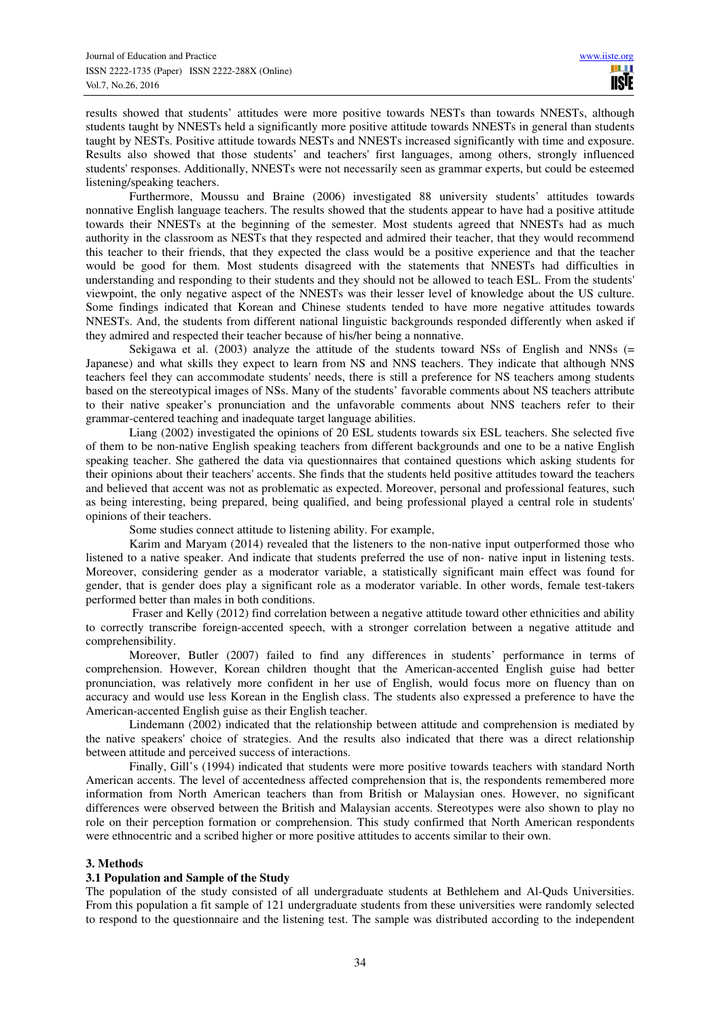results showed that students' attitudes were more positive towards NESTs than towards NNESTs, although students taught by NNESTs held a significantly more positive attitude towards NNESTs in general than students taught by NESTs. Positive attitude towards NESTs and NNESTs increased significantly with time and exposure. Results also showed that those students' and teachers' first languages, among others, strongly influenced students' responses. Additionally, NNESTs were not necessarily seen as grammar experts, but could be esteemed listening/speaking teachers.

Furthermore, Moussu and Braine (2006) investigated 88 university students' attitudes towards nonnative English language teachers. The results showed that the students appear to have had a positive attitude towards their NNESTs at the beginning of the semester. Most students agreed that NNESTs had as much authority in the classroom as NESTs that they respected and admired their teacher, that they would recommend this teacher to their friends, that they expected the class would be a positive experience and that the teacher would be good for them. Most students disagreed with the statements that NNESTs had difficulties in understanding and responding to their students and they should not be allowed to teach ESL. From the students' viewpoint, the only negative aspect of the NNESTs was their lesser level of knowledge about the US culture. Some findings indicated that Korean and Chinese students tended to have more negative attitudes towards NNESTs. And, the students from different national linguistic backgrounds responded differently when asked if they admired and respected their teacher because of his/her being a nonnative.

Sekigawa et al. (2003) analyze the attitude of the students toward NSs of English and NNSs (= Japanese) and what skills they expect to learn from NS and NNS teachers. They indicate that although NNS teachers feel they can accommodate students' needs, there is still a preference for NS teachers among students based on the stereotypical images of NSs. Many of the students' favorable comments about NS teachers attribute to their native speaker's pronunciation and the unfavorable comments about NNS teachers refer to their grammar-centered teaching and inadequate target language abilities.

Liang (2002) investigated the opinions of 20 ESL students towards six ESL teachers. She selected five of them to be non-native English speaking teachers from different backgrounds and one to be a native English speaking teacher. She gathered the data via questionnaires that contained questions which asking students for their opinions about their teachers' accents. She finds that the students held positive attitudes toward the teachers and believed that accent was not as problematic as expected. Moreover, personal and professional features, such as being interesting, being prepared, being qualified, and being professional played a central role in students' opinions of their teachers.

Some studies connect attitude to listening ability. For example,

Karim and Maryam (2014) revealed that the listeners to the non-native input outperformed those who listened to a native speaker. And indicate that students preferred the use of non- native input in listening tests. Moreover, considering gender as a moderator variable, a statistically significant main effect was found for gender, that is gender does play a significant role as a moderator variable. In other words, female test-takers performed better than males in both conditions.

 Fraser and Kelly (2012) find correlation between a negative attitude toward other ethnicities and ability to correctly transcribe foreign-accented speech, with a stronger correlation between a negative attitude and comprehensibility.

Moreover, Butler (2007) failed to find any differences in students' performance in terms of comprehension. However, Korean children thought that the American-accented English guise had better pronunciation, was relatively more confident in her use of English, would focus more on fluency than on accuracy and would use less Korean in the English class. The students also expressed a preference to have the American-accented English guise as their English teacher.

Lindemann (2002) indicated that the relationship between attitude and comprehension is mediated by the native speakers' choice of strategies. And the results also indicated that there was a direct relationship between attitude and perceived success of interactions.

Finally, Gill's (1994) indicated that students were more positive towards teachers with standard North American accents. The level of accentedness affected comprehension that is, the respondents remembered more information from North American teachers than from British or Malaysian ones. However, no significant differences were observed between the British and Malaysian accents. Stereotypes were also shown to play no role on their perception formation or comprehension. This study confirmed that North American respondents were ethnocentric and a scribed higher or more positive attitudes to accents similar to their own.

# **3. Methods**

# **3.1 Population and Sample of the Study**

The population of the study consisted of all undergraduate students at Bethlehem and Al-Quds Universities. From this population a fit sample of 121 undergraduate students from these universities were randomly selected to respond to the questionnaire and the listening test. The sample was distributed according to the independent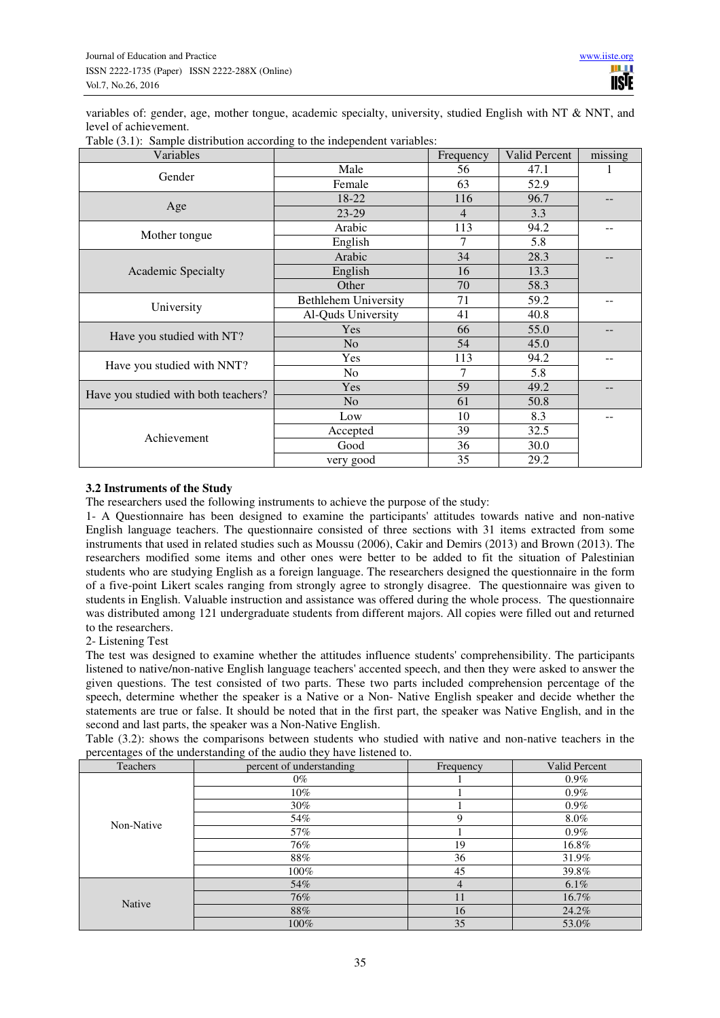variables of: gender, age, mother tongue, academic specialty, university, studied English with NT & NNT, and level of achievement.

| Variables                            |                             | Frequency | <b>Valid Percent</b> | missing |
|--------------------------------------|-----------------------------|-----------|----------------------|---------|
| Gender                               | Male                        | 56        | 47.1                 |         |
|                                      | Female                      | 63        | 52.9                 |         |
|                                      | 18-22                       | 116       | 96.7                 |         |
| Age                                  | 23-29                       | 4         | 3.3                  |         |
|                                      | Arabic                      | 113       | 94.2                 |         |
| Mother tongue                        | English                     | 7         | 5.8                  |         |
|                                      | Arabic                      | 34        | 28.3                 |         |
| <b>Academic Specialty</b>            | English                     | 16        | 13.3                 |         |
|                                      | Other                       | 70        | 58.3                 |         |
|                                      | <b>Bethlehem University</b> | 71        | 59.2                 |         |
| University                           | Al-Quds University          | 41        | 40.8                 |         |
|                                      | Yes                         | 66        | 55.0                 |         |
| Have you studied with NT?            | N <sub>o</sub>              | 54        | 45.0                 |         |
|                                      | Yes                         | 113       | 94.2                 |         |
| Have you studied with NNT?           | N <sub>o</sub>              | 7         | 5.8                  |         |
|                                      | Yes                         | 59        | 49.2                 | --      |
| Have you studied with both teachers? | N <sub>o</sub>              | 61        | 50.8                 |         |
|                                      | Low                         | 10        | 8.3                  |         |
|                                      | Accepted                    | 39        | 32.5                 |         |
| Achievement                          | Good                        | 36        | 30.0                 |         |
|                                      | very good                   | 35        | 29.2                 |         |

Table (3.1): Sample distribution according to the independent variables:

# **3.2 Instruments of the Study**

The researchers used the following instruments to achieve the purpose of the study:

1- A Questionnaire has been designed to examine the participants' attitudes towards native and non-native English language teachers. The questionnaire consisted of three sections with 31 items extracted from some instruments that used in related studies such as Moussu (2006), Cakir and Demirs (2013) and Brown (2013). The researchers modified some items and other ones were better to be added to fit the situation of Palestinian students who are studying English as a foreign language. The researchers designed the questionnaire in the form of a five-point Likert scales ranging from strongly agree to strongly disagree. The questionnaire was given to students in English. Valuable instruction and assistance was offered during the whole process. The questionnaire was distributed among 121 undergraduate students from different majors. All copies were filled out and returned to the researchers.

## 2- Listening Test

The test was designed to examine whether the attitudes influence students' comprehensibility. The participants listened to native/non-native English language teachers' accented speech, and then they were asked to answer the given questions. The test consisted of two parts. These two parts included comprehension percentage of the speech, determine whether the speaker is a Native or a Non- Native English speaker and decide whether the statements are true or false. It should be noted that in the first part, the speaker was Native English, and in the second and last parts, the speaker was a Non-Native English.

Table (3.2): shows the comparisons between students who studied with native and non-native teachers in the percentages of the understanding of the audio they have listened to.

| Teachers   | percent of understanding | Frequency      | Valid Percent |
|------------|--------------------------|----------------|---------------|
|            | $0\%$                    |                | $0.9\%$       |
|            | 10%                      |                | $0.9\%$       |
|            | 30%                      |                | $0.9\%$       |
| Non-Native | 54%                      | 9              | $8.0\%$       |
|            | 57%                      |                | $0.9\%$       |
|            | 76%                      | 19             | 16.8%         |
|            | 88%                      | 36             | 31.9%         |
|            | 100%                     | 45             | 39.8%         |
|            | 54%                      | $\overline{4}$ | $6.1\%$       |
| Native     | 76%                      | 11             | 16.7%         |
|            | 88%                      | 16             | 24.2%         |
|            | 100%                     | 35             | 53.0%         |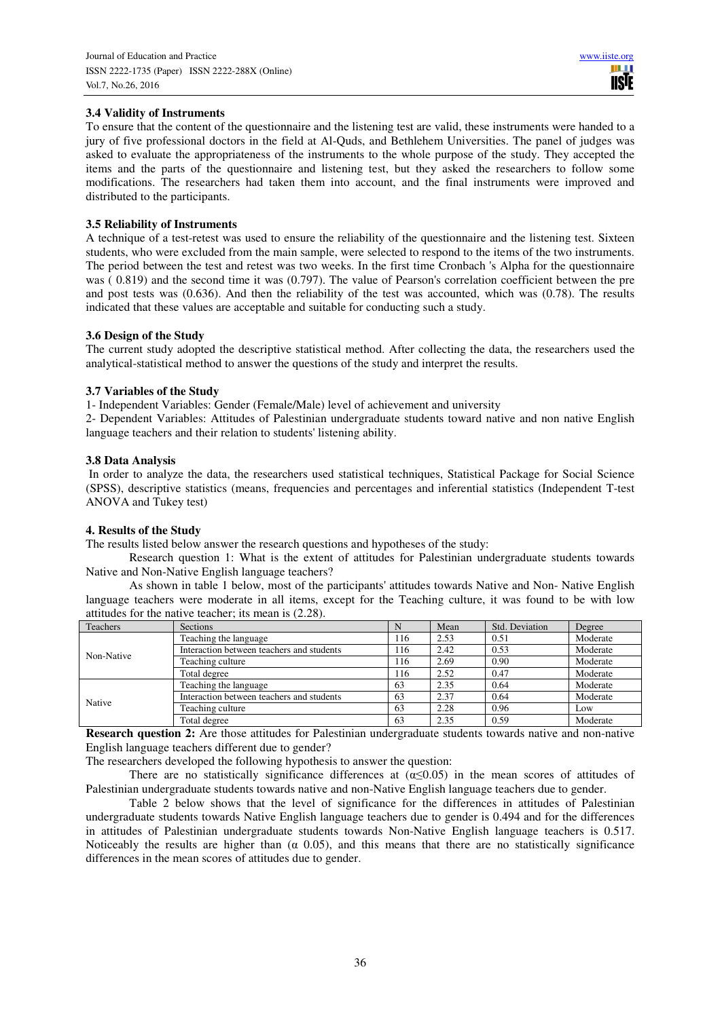# **3.4 Validity of Instruments**

To ensure that the content of the questionnaire and the listening test are valid, these instruments were handed to a jury of five professional doctors in the field at Al-Quds, and Bethlehem Universities. The panel of judges was asked to evaluate the appropriateness of the instruments to the whole purpose of the study. They accepted the items and the parts of the questionnaire and listening test, but they asked the researchers to follow some modifications. The researchers had taken them into account, and the final instruments were improved and distributed to the participants.

# **3.5 Reliability of Instruments**

A technique of a test-retest was used to ensure the reliability of the questionnaire and the listening test. Sixteen students, who were excluded from the main sample, were selected to respond to the items of the two instruments. The period between the test and retest was two weeks. In the first time Cronbach 's Alpha for the questionnaire was ( 0.819) and the second time it was (0.797). The value of Pearson's correlation coefficient between the pre and post tests was (0.636). And then the reliability of the test was accounted, which was (0.78). The results indicated that these values are acceptable and suitable for conducting such a study.

# **3.6 Design of the Study**

The current study adopted the descriptive statistical method. After collecting the data, the researchers used the analytical-statistical method to answer the questions of the study and interpret the results.

# **3.7 Variables of the Study**

1- Independent Variables: Gender (Female/Male) level of achievement and university

2- Dependent Variables: Attitudes of Palestinian undergraduate students toward native and non native English language teachers and their relation to students' listening ability.

# **3.8 Data Analysis**

 In order to analyze the data, the researchers used statistical techniques, Statistical Package for Social Science (SPSS), descriptive statistics (means, frequencies and percentages and inferential statistics (Independent T-test ANOVA and Tukey test)

# **4. Results of the Study**

The results listed below answer the research questions and hypotheses of the study:

Research question 1: What is the extent of attitudes for Palestinian undergraduate students towards Native and Non-Native English language teachers?

As shown in table 1 below, most of the participants' attitudes towards Native and Non- Native English language teachers were moderate in all items, except for the Teaching culture, it was found to be with low attitudes for the native teacher; its mean is (2.28).

| Teachers   | <b>Sections</b>                           |     | Mean | Std. Deviation | Degree   |
|------------|-------------------------------------------|-----|------|----------------|----------|
| Non-Native | Teaching the language                     | 116 | 2.53 | 0.51           | Moderate |
|            | Interaction between teachers and students | 116 | 2.42 | 0.53           | Moderate |
|            | Teaching culture                          | 116 | 2.69 | 0.90           | Moderate |
|            | Total degree                              | 116 | 2.52 | 0.47           | Moderate |
|            | Teaching the language                     | 63  | 2.35 | 0.64           | Moderate |
|            | Interaction between teachers and students | 63  | 2.37 | 0.64           | Moderate |
| Native     | Teaching culture                          | 63  | 2.28 | 0.96           | Low      |
|            | Total degree                              | 63  | 2.35 | 0.59           | Moderate |

**Research question 2:** Are those attitudes for Palestinian undergraduate students towards native and non-native English language teachers different due to gender?

The researchers developed the following hypothesis to answer the question:

There are no statistically significance differences at  $(a \le 0.05)$  in the mean scores of attitudes of Palestinian undergraduate students towards native and non-Native English language teachers due to gender.

Table 2 below shows that the level of significance for the differences in attitudes of Palestinian undergraduate students towards Native English language teachers due to gender is 0.494 and for the differences in attitudes of Palestinian undergraduate students towards Non-Native English language teachers is 0.517. Noticeably the results are higher than  $(\alpha, 0.05)$ , and this means that there are no statistically significance differences in the mean scores of attitudes due to gender.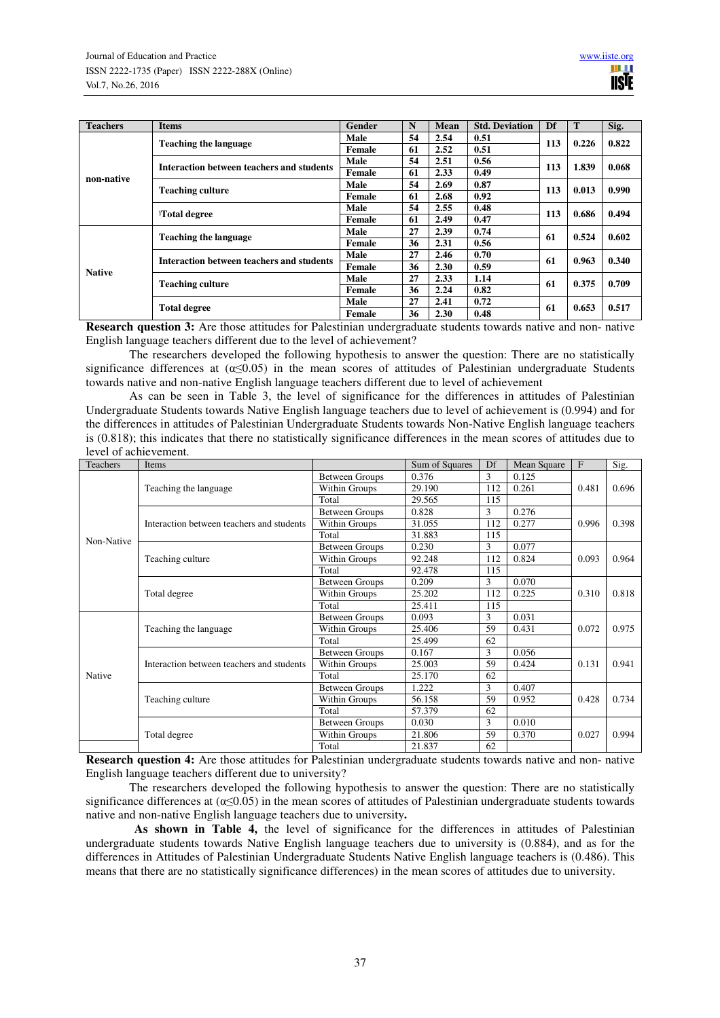| <b>Teachers</b> | Items                                     | Gender | N  | <b>Mean</b> | <b>Std. Deviation</b> | Df  |       | Sig.  |
|-----------------|-------------------------------------------|--------|----|-------------|-----------------------|-----|-------|-------|
|                 | <b>Teaching the language</b>              | Male   | 54 | 2.54        | 0.51                  | 113 | 0.226 | 0.822 |
|                 |                                           | Female | 61 | 2.52        | 0.51                  |     |       |       |
|                 | Interaction between teachers and students | Male   | 54 | 2.51        | 0.56                  | 113 | 1.839 | 0.068 |
|                 |                                           | Female | 61 | 2.33        | 0.49                  |     |       |       |
| non-native      |                                           | Male   | 54 | 2.69        | 0.87                  | 113 | 0.013 |       |
|                 | <b>Teaching culture</b>                   | Female | 61 | 2.68        | 0.92                  |     |       | 0.990 |
|                 | <b>Total degree</b>                       | Male   | 54 | 2.55        | 0.48                  |     | 0.686 | 0.494 |
|                 |                                           | Female | 61 | 2.49        | 0.47                  | 113 |       |       |
|                 | <b>Teaching the language</b>              | Male   | 27 | 2.39        | 0.74                  | 61  | 0.524 | 0.602 |
|                 |                                           | Female | 36 | 2.31        | 0.56                  |     |       |       |
|                 | Interaction between teachers and students | Male   | 27 | 2.46        | 0.70                  | 61  | 0.963 | 0.340 |
| <b>Native</b>   |                                           | Female | 36 | 2.30        | 0.59                  |     |       |       |
|                 |                                           | Male   | 27 | 2.33        | 1.14                  | 61  | 0.375 | 0.709 |
|                 | <b>Teaching culture</b>                   | Female | 36 | 2.24        | 0.82                  |     |       |       |
|                 |                                           | Male   | 27 | 2.41        | 0.72                  |     |       | 0.517 |
|                 | <b>Total degree</b>                       | Female | 36 | 2.30        | 0.48                  | 61  | 0.653 |       |

**Research question 3:** Are those attitudes for Palestinian undergraduate students towards native and non- native English language teachers different due to the level of achievement?

The researchers developed the following hypothesis to answer the question: There are no statistically significance differences at  $(\alpha \le 0.05)$  in the mean scores of attitudes of Palestinian undergraduate Students towards native and non-native English language teachers different due to level of achievement

As can be seen in Table 3, the level of significance for the differences in attitudes of Palestinian Undergraduate Students towards Native English language teachers due to level of achievement is (0.994) and for the differences in attitudes of Palestinian Undergraduate Students towards Non-Native English language teachers is (0.818); this indicates that there no statistically significance differences in the mean scores of attitudes due to level of achievement.

| <b>Teachers</b> | Items                                     |                       | Sum of Squares | Df  | Mean Square | $\mathbf{F}$ | Sig.  |
|-----------------|-------------------------------------------|-----------------------|----------------|-----|-------------|--------------|-------|
|                 |                                           | Between Groups        | 0.376          | 3   | 0.125       |              |       |
|                 | Teaching the language                     | Within Groups         | 29.190         | 112 | 0.261       | 0.481        | 0.696 |
|                 |                                           | Total                 | 29.565         | 115 |             |              |       |
|                 |                                           | <b>Between Groups</b> | 0.828          | 3   | 0.276       |              |       |
|                 | Interaction between teachers and students | Within Groups         | 31.055         | 112 | 0.277       | 0.996        | 0.398 |
| Non-Native      |                                           | Total                 | 31.883         | 115 |             |              |       |
|                 |                                           | Between Groups        | 0.230          | 3   | 0.077       |              |       |
|                 | Teaching culture                          | Within Groups         | 92.248         | 112 | 0.824       | 0.093        | 0.964 |
|                 |                                           | Total                 | 92.478         | 115 |             |              |       |
|                 |                                           | <b>Between Groups</b> | 0.209          | 3   | 0.070       |              | 0.818 |
|                 | Total degree                              | Within Groups         | 25.202         | 112 | 0.225       | 0.310        |       |
|                 |                                           | Total                 | 25.411         | 115 |             |              |       |
|                 | Teaching the language                     | Between Groups        | 0.093          | 3   | 0.031       |              | 0.975 |
|                 |                                           | Within Groups         | 25.406         | 59  | 0.431       | 0.072        |       |
|                 |                                           | Total                 | 25.499         | 62  |             |              |       |
|                 |                                           | <b>Between Groups</b> | 0.167          | 3   | 0.056       |              |       |
|                 | Interaction between teachers and students | Within Groups         | 25.003         | 59  | 0.424       | 0.131        | 0.941 |
| Native          |                                           | Total                 | 25.170         | 62  |             |              |       |
|                 |                                           | Between Groups        | 1.222          | 3   | 0.407       |              |       |
|                 | Teaching culture                          | Within Groups         | 56.158         | 59  | 0.952       | 0.428        | 0.734 |
|                 |                                           | Total                 | 57.379         | 62  |             |              |       |
|                 |                                           | <b>Between Groups</b> | 0.030          | 3   | 0.010       |              |       |
|                 | Total degree                              | Within Groups         | 21.806         | 59  | 0.370       | 0.027        | 0.994 |
|                 |                                           | Total                 | 21.837         | 62  |             |              |       |

**Research question 4:** Are those attitudes for Palestinian undergraduate students towards native and non- native English language teachers different due to university?

The researchers developed the following hypothesis to answer the question: There are no statistically significance differences at  $(\alpha \le 0.05)$  in the mean scores of attitudes of Palestinian undergraduate students towards native and non-native English language teachers due to university**.** 

As shown in Table 4, the level of significance for the differences in attitudes of Palestinian undergraduate students towards Native English language teachers due to university is (0.884), and as for the differences in Attitudes of Palestinian Undergraduate Students Native English language teachers is (0.486). This means that there are no statistically significance differences) in the mean scores of attitudes due to university.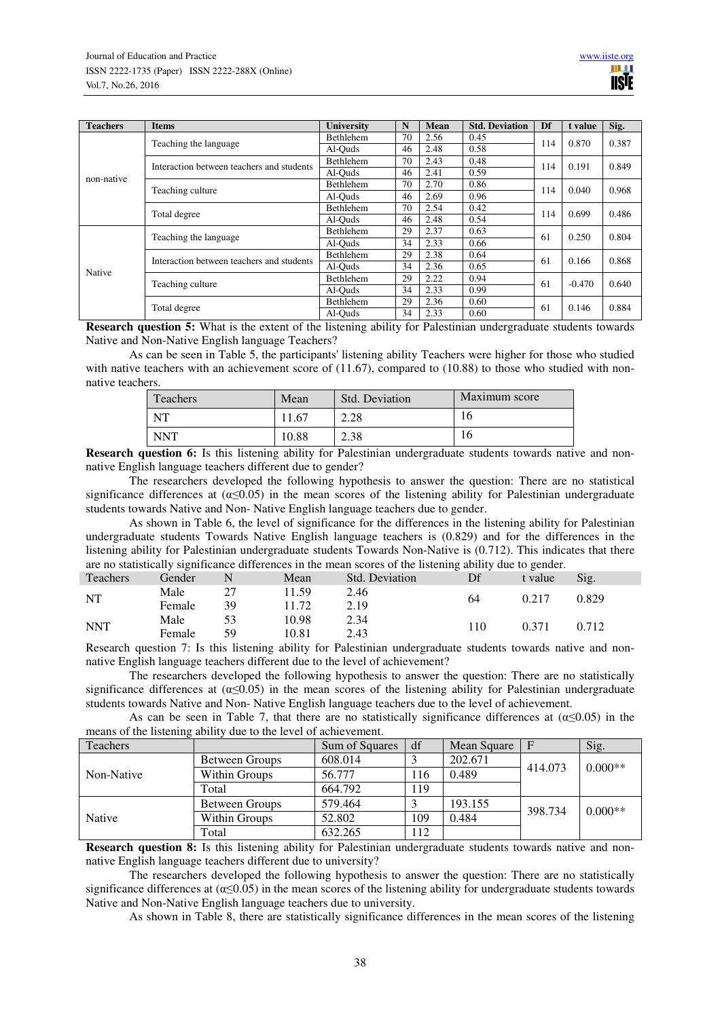| <b>Teachers</b> | <b>Items</b>                              | <b>University</b> | N  | Mean | <b>Std. Deviation</b> | Df  | t value  | Sig.  |
|-----------------|-------------------------------------------|-------------------|----|------|-----------------------|-----|----------|-------|
|                 | Teaching the language                     | <b>Bethlehem</b>  | 70 | 2.56 | 0.45                  | 114 | 0.870    | 0.387 |
|                 |                                           | Al-Ouds           | 46 | 2.48 | 0.58                  |     |          |       |
|                 | Interaction between teachers and students | Bethlehem         | 70 | 2.43 | 0.48                  | 114 | 0.191    | 0.849 |
| non-native      |                                           | Al-Ouds           | 46 | 2.41 | 0.59                  |     |          |       |
|                 | Teaching culture                          | Bethlehem         | 70 | 2.70 | 0.86                  | 114 | 0.040    | 0.968 |
|                 |                                           | Al-Ouds           | 46 | 2.69 | 0.96                  |     |          |       |
|                 | Total degree                              | Bethlehem         | 70 | 2.54 | 0.42                  | 114 | 0.699    | 0.486 |
|                 |                                           | Al-Ouds           | 46 | 2.48 | 0.54                  |     |          |       |
|                 | Teaching the language                     | Bethlehem         | 29 | 2.37 | 0.63                  | 61  | 0.250    | 0.804 |
|                 |                                           | Al-Ouds           | 34 | 2.33 | 0.66                  |     |          |       |
|                 | Interaction between teachers and students | Bethlehem         | 29 | 2.38 | 0.64                  | 61  | 0.166    | 0.868 |
| Native          |                                           | Al-Ouds           | 34 | 2.36 | 0.65                  |     |          |       |
|                 | Teaching culture                          | Bethlehem         | 29 | 2.22 | 0.94                  | 61  | $-0.470$ | 0.640 |
|                 |                                           | Al-Ouds           | 34 | 2.33 | 0.99                  |     |          |       |
|                 | Total degree                              | Bethlehem         | 29 | 2.36 | 0.60                  | 61  | 0.146    |       |
|                 |                                           | Al-Ouds           | 34 | 2.33 | 0.60                  |     |          | 0.884 |

**Research question 5:** What is the extent of the listening ability for Palestinian undergraduate students towards Native and Non-Native English language Teachers?

As can be seen in Table 5, the participants' listening ability Teachers were higher for those who studied with native teachers with an achievement score of (11.67), compared to (10.88) to those who studied with nonnative teachers.

| Teachers   | Mean  | Std. Deviation | Maximum score |
|------------|-------|----------------|---------------|
| <b>NT</b>  | .67   | 2.28           | 10            |
| <b>NNT</b> | 10.88 | 2.38           | 16            |

**Research question 6:** Is this listening ability for Palestinian undergraduate students towards native and nonnative English language teachers different due to gender?

The researchers developed the following hypothesis to answer the question: There are no statistical significance differences at  $(\alpha \leq 0.05)$  in the mean scores of the listening ability for Palestinian undergraduate students towards Native and Non- Native English language teachers due to gender.

As shown in Table 6, the level of significance for the differences in the listening ability for Palestinian undergraduate students Towards Native English language teachers is (0.829) and for the differences in the listening ability for Palestinian undergraduate students Towards Non-Native is (0.712). This indicates that there are no statistically significance differences in the mean scores of the listening ability due to gender.

| <b>Teachers</b> | Gender | N  | Mean  | Std. Deviation | Df  | t value | Sig.  |  |
|-----------------|--------|----|-------|----------------|-----|---------|-------|--|
| <b>NT</b>       | Male   | 27 | 11.59 | 2.46           |     | 0.217   | 0.829 |  |
|                 | Female | 39 | 11.72 | 2.19           | 64  |         |       |  |
| <b>NNT</b>      | Male   | 53 | 10.98 | 2.34           | 110 |         |       |  |
|                 | Female | 59 | 10.81 | 2.43           |     | 0.371   | 0.712 |  |

Research question 7: Is this listening ability for Palestinian undergraduate students towards native and nonnative English language teachers different due to the level of achievement?

The researchers developed the following hypothesis to answer the question: There are no statistically significance differences at ( $\alpha \le 0.05$ ) in the mean scores of the listening ability for Palestinian undergraduate students towards Native and Non- Native English language teachers due to the level of achievement.

As can be seen in Table 7, that there are no statistically significance differences at  $(\alpha \le 0.05)$  in the means of the listening ability due to the level of achievement.

| <b>Teachers</b> |                | Sum of Squares | df  | Mean Square | $\mathbf F$ | Sig.      |  |
|-----------------|----------------|----------------|-----|-------------|-------------|-----------|--|
| Non-Native      | Between Groups | 608.014        |     | 202.671     | 414.073     | $0.000**$ |  |
|                 | Within Groups  | 56.777         | 116 | 0.489       |             |           |  |
|                 | Total          | 664.792        | 119 |             |             |           |  |
|                 | Between Groups | 579.464        |     | 193.155     | 398.734     | $0.000**$ |  |
| Native          | Within Groups  | 52.802         | 109 | 0.484       |             |           |  |
|                 | Total          | 632.265        | 112 |             |             |           |  |

**Research question 8:** Is this listening ability for Palestinian undergraduate students towards native and nonnative English language teachers different due to university?

The researchers developed the following hypothesis to answer the question: There are no statistically significance differences at  $(\alpha \le 0.05)$  in the mean scores of the listening ability for undergraduate students towards Native and Non-Native English language teachers due to university.

As shown in Table 8, there are statistically significance differences in the mean scores of the listening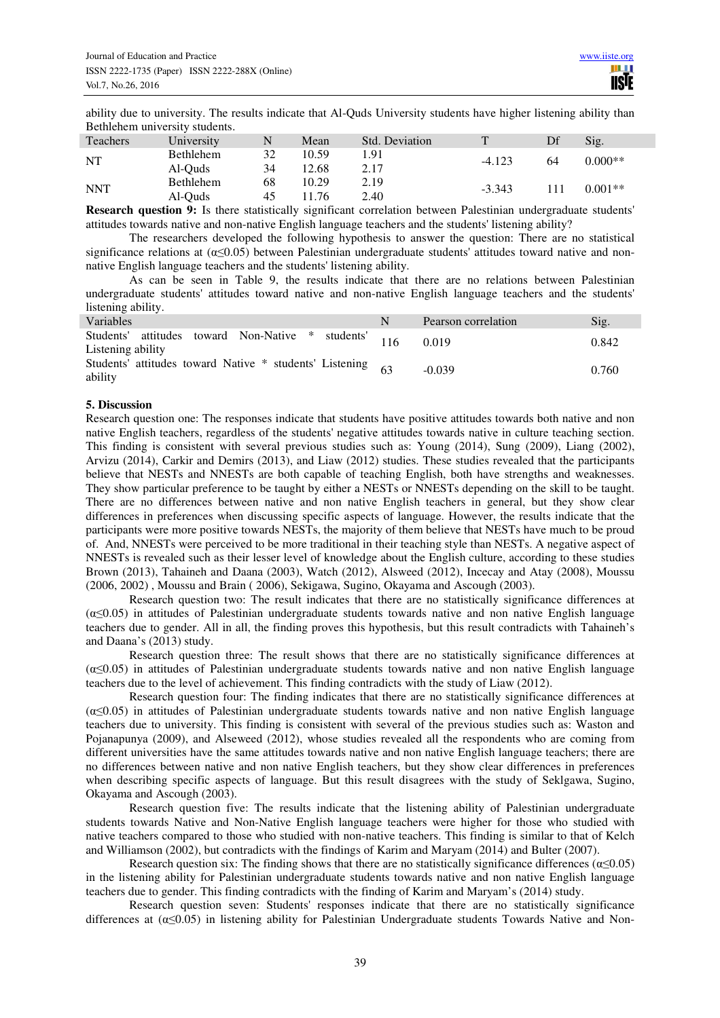ability due to university. The results indicate that Al-Quds University students have higher listening ability than Bethlehem university students.

| <b>Teachers</b> | University       | N  | Mean  | Std. Deviation |          |     | Sig.      |  |
|-----------------|------------------|----|-------|----------------|----------|-----|-----------|--|
| NT              | <b>Bethlehem</b> | 32 | 10.59 | 1.91           | $-4.123$ | 64  | $0.000**$ |  |
|                 | Al-Ouds          | 34 | 12.68 | 2.17           |          |     |           |  |
| <b>NNT</b>      | Bethlehem        | 68 | 10.29 | 2.19           |          | 111 | $0.001**$ |  |
|                 | Al-Ouds          | 45 | 11.76 | 2.40           | $-3.343$ |     |           |  |

**Research question 9:** Is there statistically significant correlation between Palestinian undergraduate students' attitudes towards native and non-native English language teachers and the students' listening ability?

The researchers developed the following hypothesis to answer the question: There are no statistical significance relations at  $(\alpha \le 0.05)$  between Palestinian undergraduate students' attitudes toward native and nonnative English language teachers and the students' listening ability.

As can be seen in Table 9, the results indicate that there are no relations between Palestinian undergraduate students' attitudes toward native and non-native English language teachers and the students' listening ability.

| Variables                                                                  | Pearson correlation | Sig.  |
|----------------------------------------------------------------------------|---------------------|-------|
| Students' attitudes toward Non-Native * students' 116<br>Listening ability | 0.019               | 0.842 |
| Students' attitudes toward Native $*$ students' Listening 63<br>ability    | $-0.039$            | 0.760 |

## **5. Discussion**

Research question one: The responses indicate that students have positive attitudes towards both native and non native English teachers, regardless of the students' negative attitudes towards native in culture teaching section. This finding is consistent with several previous studies such as: Young (2014), Sung (2009), Liang (2002), Arvizu (2014), Carkir and Demirs (2013), and Liaw (2012) studies. These studies revealed that the participants believe that NESTs and NNESTs are both capable of teaching English, both have strengths and weaknesses. They show particular preference to be taught by either a NESTs or NNESTs depending on the skill to be taught. There are no differences between native and non native English teachers in general, but they show clear differences in preferences when discussing specific aspects of language. However, the results indicate that the participants were more positive towards NESTs, the majority of them believe that NESTs have much to be proud of. And, NNESTs were perceived to be more traditional in their teaching style than NESTs. A negative aspect of NNESTs is revealed such as their lesser level of knowledge about the English culture, according to these studies Brown (2013), Tahaineh and Daana (2003), Watch (2012), Alsweed (2012), Incecay and Atay (2008), Moussu (2006, 2002) , Moussu and Brain ( 2006), Sekigawa, Sugino, Okayama and Ascough (2003).

Research question two: The result indicates that there are no statistically significance differences at  $(\alpha \leq 0.05)$  in attitudes of Palestinian undergraduate students towards native and non native English language teachers due to gender. All in all, the finding proves this hypothesis, but this result contradicts with Tahaineh's and Daana's (2013) study.

Research question three: The result shows that there are no statistically significance differences at  $(\alpha \leq 0.05)$  in attitudes of Palestinian undergraduate students towards native and non native English language teachers due to the level of achievement. This finding contradicts with the study of Liaw (2012).

Research question four: The finding indicates that there are no statistically significance differences at  $(\alpha \leq 0.05)$  in attitudes of Palestinian undergraduate students towards native and non native English language teachers due to university. This finding is consistent with several of the previous studies such as: Waston and Pojanapunya (2009), and Alseweed (2012), whose studies revealed all the respondents who are coming from different universities have the same attitudes towards native and non native English language teachers; there are no differences between native and non native English teachers, but they show clear differences in preferences when describing specific aspects of language. But this result disagrees with the study of Seklgawa, Sugino, Okayama and Ascough (2003).

Research question five: The results indicate that the listening ability of Palestinian undergraduate students towards Native and Non-Native English language teachers were higher for those who studied with native teachers compared to those who studied with non-native teachers. This finding is similar to that of Kelch and Williamson (2002), but contradicts with the findings of Karim and Maryam (2014) and Bulter (2007).

Research question six: The finding shows that there are no statistically significance differences ( $\alpha \le 0.05$ ) in the listening ability for Palestinian undergraduate students towards native and non native English language teachers due to gender. This finding contradicts with the finding of Karim and Maryam's (2014) study.

Research question seven: Students' responses indicate that there are no statistically significance differences at  $(\alpha \leq 0.05)$  in listening ability for Palestinian Undergraduate students Towards Native and Non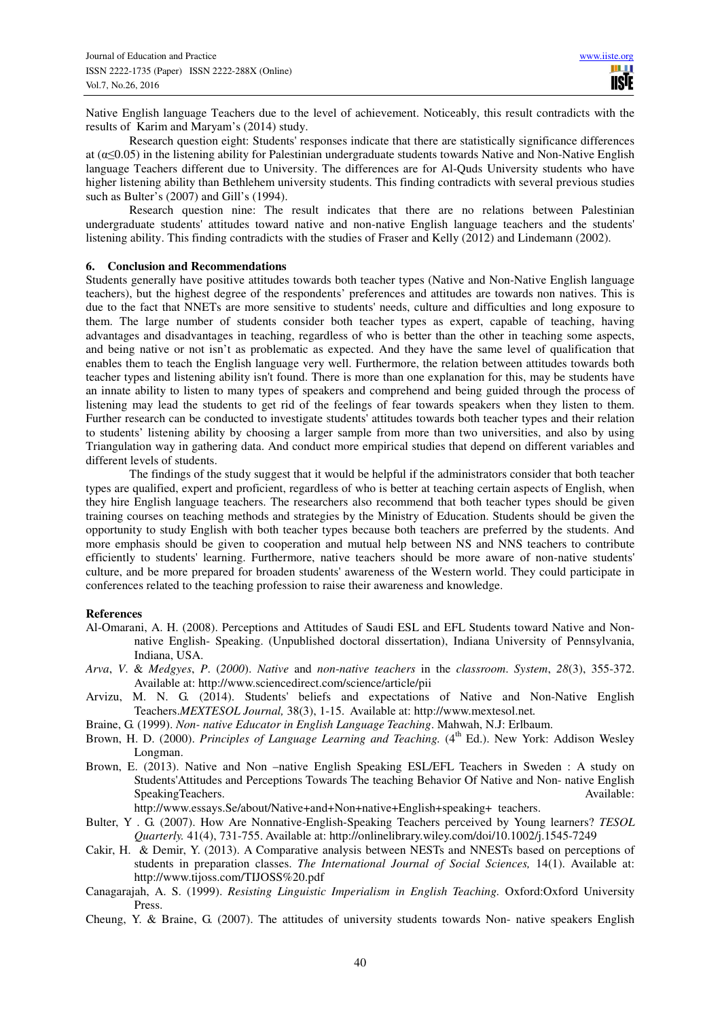Native English language Teachers due to the level of achievement. Noticeably, this result contradicts with the results of Karim and Maryam's (2014) study.

Research question eight: Students' responses indicate that there are statistically significance differences at ( $\alpha \leq 0.05$ ) in the listening ability for Palestinian undergraduate students towards Native and Non-Native English language Teachers different due to University. The differences are for Al-Quds University students who have higher listening ability than Bethlehem university students. This finding contradicts with several previous studies such as Bulter's (2007) and Gill's (1994).

Research question nine: The result indicates that there are no relations between Palestinian undergraduate students' attitudes toward native and non-native English language teachers and the students' listening ability. This finding contradicts with the studies of Fraser and Kelly (2012) and Lindemann (2002).

## **6. Conclusion and Recommendations**

Students generally have positive attitudes towards both teacher types (Native and Non-Native English language teachers), but the highest degree of the respondents' preferences and attitudes are towards non natives. This is due to the fact that NNETs are more sensitive to students' needs, culture and difficulties and long exposure to them. The large number of students consider both teacher types as expert, capable of teaching, having advantages and disadvantages in teaching, regardless of who is better than the other in teaching some aspects, and being native or not isn't as problematic as expected. And they have the same level of qualification that enables them to teach the English language very well. Furthermore, the relation between attitudes towards both teacher types and listening ability isn't found. There is more than one explanation for this, may be students have an innate ability to listen to many types of speakers and comprehend and being guided through the process of listening may lead the students to get rid of the feelings of fear towards speakers when they listen to them. Further research can be conducted to investigate students' attitudes towards both teacher types and their relation to students' listening ability by choosing a larger sample from more than two universities, and also by using Triangulation way in gathering data. And conduct more empirical studies that depend on different variables and different levels of students.

The findings of the study suggest that it would be helpful if the administrators consider that both teacher types are qualified, expert and proficient, regardless of who is better at teaching certain aspects of English, when they hire English language teachers. The researchers also recommend that both teacher types should be given training courses on teaching methods and strategies by the Ministry of Education. Students should be given the opportunity to study English with both teacher types because both teachers are preferred by the students. And more emphasis should be given to cooperation and mutual help between NS and NNS teachers to contribute efficiently to students' learning. Furthermore, native teachers should be more aware of non-native students' culture, and be more prepared for broaden students' awareness of the Western world. They could participate in conferences related to the teaching profession to raise their awareness and knowledge.

## **References**

- Al-Omarani, A. H. (2008). Perceptions and Attitudes of Saudi ESL and EFL Students toward Native and Nonnative English- Speaking. (Unpublished doctoral dissertation), Indiana University of Pennsylvania, Indiana, USA.
- *Arva*, *V*. & *Medgyes*, *P*. (*2000*). *Native* and *non*-*native teachers* in the *classroom*. *System*, *28*(3), 355-372. Available at: http://www.sciencedirect.com/science/article/pii
- Arvizu, M. N. G. (2014). Students' beliefs and expectations of Native and Non-Native English Teachers.*MEXTESOL Journal,* 38(3), 1-15. Available at: http://www.mextesol.net*.*
- Braine, G. (1999). *Non- native Educator in English Language Teaching*. Mahwah, N.J: Erlbaum.
- Brown, H. D. (2000). *Principles of Language Learning and Teaching.* (4<sup>th</sup> Ed.). New York: Addison Wesley Longman.
- Brown, E. (2013). Native and Non –native English Speaking ESL/EFL Teachers in Sweden : A study on Students'Attitudes and Perceptions Towards The teaching Behavior Of Native and Non- native English SpeakingTeachers. Available: Available: Available: Available: Available: Available: Available: Available: Available: Available: Available: Available: Available: Available: Available: Available: Available: Available: Availa

http://www.essays.Se/about/Native+and+Non+native+English+speaking+ teachers.

- Bulter, Y . G. (2007). How Are Nonnative-English-Speaking Teachers perceived by Young learners? *TESOL Quarterly.* 41(4), 731-755. Available at: http://onlinelibrary.wiley.com/doi/10.1002/j.1545-7249
- Cakir, H. & Demir, Y. (2013). A Comparative analysis between NESTs and NNESTs based on perceptions of students in preparation classes. *The International Journal of Social Sciences,* 14(1). Available at: http://www.tijoss.com/TIJOSS%20.pdf
- Canagarajah, A. S. (1999). *Resisting Linguistic Imperialism in English Teaching.* Oxford:Oxford University Press.
- Cheung, Y. & Braine, G. (2007). The attitudes of university students towards Non- native speakers English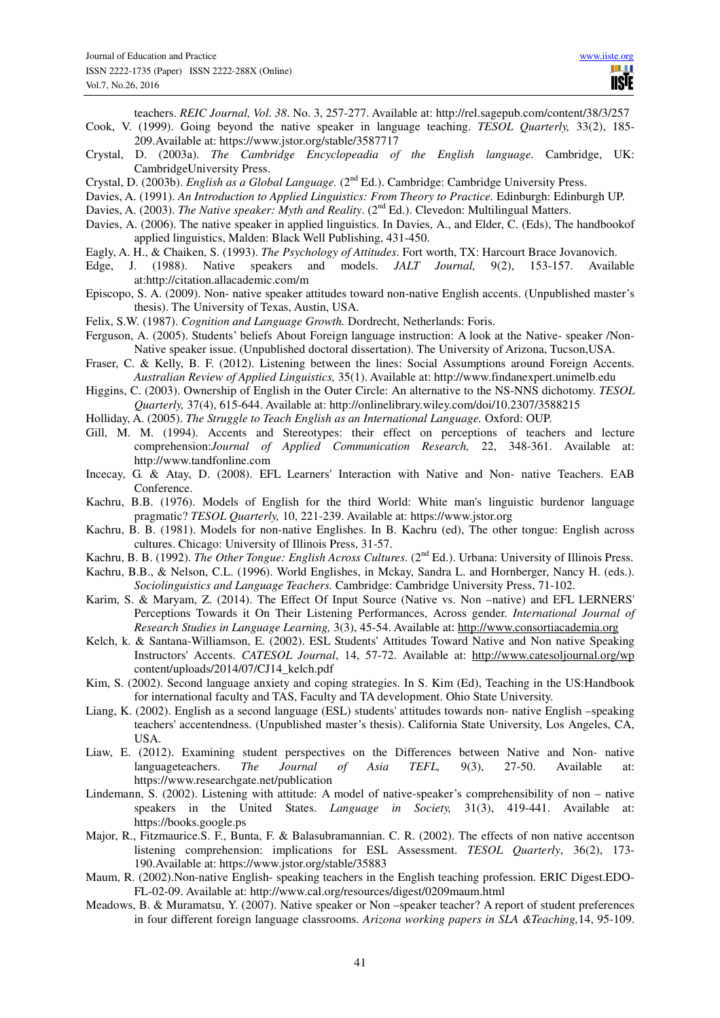teachers. *REIC Journal, Vol*. *38*. No. 3, 257-277. Available at: http://rel.sagepub.com/content/38/3/257

- Cook, V. (1999). Going beyond the native speaker in language teaching. *TESOL Quarterly,* 33(2), 185- 209.Available at: https://www.jstor.org/stable/3587717
- Crystal, D. (2003a). *The Cambridge Encyclopeadia of the English language.* Cambridge, UK: CambridgeUniversity Press.
- Crystal, D. (2003b). *English as a Global Language.* (2nd Ed.). Cambridge: Cambridge University Press.
- Davies, A. (1991). *An Introduction to Applied Linguistics: From Theory to Practice.* Edinburgh: Edinburgh UP.
- Davies, A. (2003). *The Native speaker: Myth and Reality.* (2<sup>nd</sup> Ed.). Clevedon: Multilingual Matters.
- Davies, A. (2006). The native speaker in applied linguistics. In Davies, A., and Elder, C. (Eds), The handbookof applied linguistics, Malden: Black Well Publishing, 431-450.
- Eagly, A. H., & Chaiken, S. (1993). *The Psychology of Attitudes*. Fort worth, TX: Harcourt Brace Jovanovich.
- Edge, J. (1988). Native speakers and models. *JALT Journal,* 9(2), 153-157. Available at:http://citation.allacademic.com/m
- Episcopo, S. A. (2009). Non- native speaker attitudes toward non-native English accents. (Unpublished master's thesis). The University of Texas, Austin, USA.
- Felix, S.W. (1987). *Cognition and Language Growth.* Dordrecht, Netherlands: Foris.
- Ferguson, A. (2005). Students' beliefs About Foreign language instruction: A look at the Native- speaker /Non-Native speaker issue. (Unpublished doctoral dissertation). The University of Arizona, Tucson,USA.
- Fraser, C. & Kelly, B. F. (2012). Listening between the lines: Social Assumptions around Foreign Accents. *Australian Review of Applied Linguistics,* 35(1). Available at: http://www.findanexpert.unimelb.edu
- Higgins, C. (2003). Ownership of English in the Outer Circle: An alternative to the NS-NNS dichotomy. *TESOL Quarterly,* 37(4), 615-644. Available at: http://onlinelibrary.wiley.com/doi/10.2307/3588215
- Holliday, A. (2005). *The Struggle to Teach English as an International Language.* Oxford: OUP.
- Gill, M. M. (1994). Accents and Stereotypes: their effect on perceptions of teachers and lecture comprehension:*Journal of Applied Communication Research,* 22, 348-361. Available at: http://www.tandfonline.com
- Incecay, G. & Atay, D. (2008). EFL Learners' Interaction with Native and Non- native Teachers. EAB Conference.
- Kachru, B.B. (1976). Models of English for the third World: White man's linguistic burdenor language pragmatic? *TESOL Quarterly,* 10, 221-239. Available at: https://www.jstor.org
- Kachru, B. B. (1981). Models for non-native Englishes. In B. Kachru (ed), The other tongue: English across cultures. Chicago: University of Illinois Press, 31-57.
- Kachru, B. B. (1992). *The Other Tongue: English Across Cultures*. (2<sup>nd</sup> Ed.). Urbana: University of Illinois Press.
- Kachru, B.B., & Nelson, C.L. (1996). World Englishes, in Mckay, Sandra L. and Hornberger, Nancy H. (eds.). *Sociolinguistics and Language Teachers.* Cambridge: Cambridge University Press, 71-102.
- Karim, S. & Maryam, Z. (2014). The Effect Of Input Source (Native vs. Non –native) and EFL LERNERS' Perceptions Towards it On Their Listening Performances, Across gender. *International Journal of Research Studies in Language Learning,* 3(3), 45-54. Available at: http://www.consortiacademia.org
- Kelch, k. & Santana-Williamson, E. (2002). ESL Students' Attitudes Toward Native and Non native Speaking Instructors' Accents. *CATESOL Journal*, 14, 57-72. Available at: http://www.catesoljournal.org/wp content/uploads/2014/07/CJ14\_kelch.pdf
- Kim, S. (2002). Second language anxiety and coping strategies. In S. Kim (Ed), Teaching in the US:Handbook for international faculty and TAS, Faculty and TA development. Ohio State University.
- Liang, K. (2002). English as a second language (ESL) students' attitudes towards non- native English –speaking teachers' accentendness. (Unpublished master's thesis). California State University, Los Angeles, CA, USA.
- Liaw, E. (2012). Examining student perspectives on the Differences between Native and Non- native languageteachers. *The Journal of Asia TEFL,* 9(3), 27-50. Available at: https://www.researchgate.net/publication
- Lindemann, S. (2002). Listening with attitude: A model of native-speaker's comprehensibility of non native speakers in the United States. *Language in Society,* 31(3), 419-441. Available at: https://books.google.ps
- Major, R., Fitzmaurice.S. F., Bunta, F. & Balasubramannian. C. R. (2002). The effects of non native accentson listening comprehension: implications for ESL Assessment. *TESOL Quarterly*, 36(2), 173- 190.Available at: https://www.jstor.org/stable/35883
- Maum, R. (2002).Non-native English- speaking teachers in the English teaching profession. ERIC Digest.EDO-FL-02-09. Available at: http://www.cal.org/resources/digest/0209maum.html
- Meadows, B. & Muramatsu, Y. (2007). Native speaker or Non –speaker teacher? A report of student preferences in four different foreign language classrooms. *Arizona working papers in SLA &Teaching,*14, 95-109.